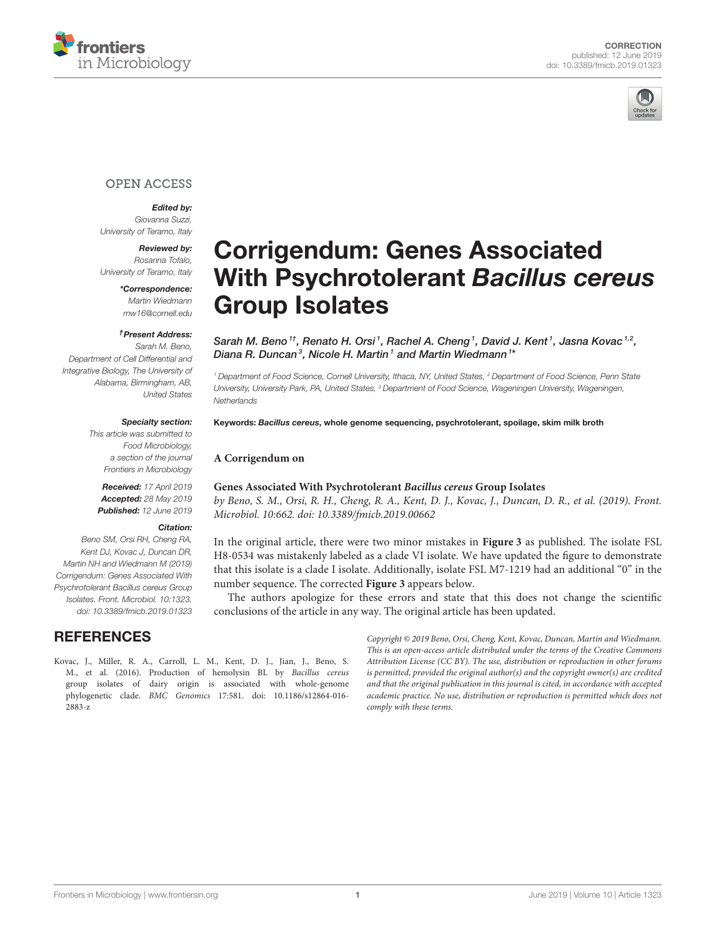



# **OPEN ACCESS**

### Edited by:

*Giovanna Suzzi, University of Teramo, Italy*

Reviewed by: *Rosanna Tofalo, University of Teramo, Italy*

> \*Correspondence: *Martin Wiedmann [mw16@cornell.edu](mailto:mw16@cornell.edu)*

#### †Present Address:

*Sarah M. Beno, Department of Cell Differential and Integrative Biology, The University of Alabama, Birmingham, AB, United States*

#### Specialty section:

*This article was submitted to Food Microbiology, a section of the journal Frontiers in Microbiology*

Received: *17 April 2019* Accepted: *28 May 2019* Published: *12 June 2019*

## Citation:

*Beno SM, Orsi RH, Cheng RA, Kent DJ, Kovac J, Duncan DR, Martin NH and Wiedmann M (2019) Corrigendum: Genes Associated With Psychrotolerant Bacillus cereus Group Isolates. Front. Microbiol. 10:1323. doi: [10.3389/fmicb.2019.01323](https://doi.org/10.3389/fmicb.2019.01323)*

# **REFERENCES**

# [Corrigendum: Genes Associated](https://www.frontiersin.org/articles/10.3389/fmicb.2019.01323/full) With Psychrotolerant Bacillus cereus Group Isolates

[Sarah M. Beno](http://loop.frontiersin.org/people/669351/overview)  $^{1t}$ , [Renato H. Orsi](http://loop.frontiersin.org/people/136580/overview)  $^{1}$ , [Rachel A. Cheng](http://loop.frontiersin.org/people/622399/overview)  $^{1}$ , [David J. Kent](http://loop.frontiersin.org/people/324416/overview)  $^{1}$ , [Jasna Kovac](http://loop.frontiersin.org/people/284026/overview)  $^{1,2}$ , [Diana R. Duncan](http://loop.frontiersin.org/people/698095/overview)<sup>3</sup>, [Nicole H. Martin](http://loop.frontiersin.org/people/340119/overview)1 and [Martin Wiedmann](http://loop.frontiersin.org/people/25299/overview)<sup>1\*</sup>

*<sup>1</sup> Department of Food Science, Cornell University, Ithaca, NY, United States, <sup>2</sup> Department of Food Science, Penn State University, University Park, PA, United States, <sup>3</sup> Department of Food Science, Wageningen University, Wageningen, Netherlands*

Keywords: Bacillus cereus, whole genome sequencing, psychrotolerant, spoilage, skim milk broth

#### **A Corrigendum on**

### **[Genes Associated With Psychrotolerant](https://doi.org/10.3389/fmicb.2019.00662) Bacillus cereus Group Isolates**

by Beno, S. M., Orsi, R. H., Cheng, R. A., Kent, D. J., Kovac, J., Duncan, D. R., et al. (2019). Front. Microbiol. 10:662. doi: [10.3389/fmicb.2019.00662](https://doi.org/10.3389/fmicb.2019.00662)

In the original article, there were two minor mistakes in **Figure 3** as published. The isolate FSL H8-0534 was mistakenly labeled as a clade VI isolate. We have updated the figure to demonstrate that this isolate is a clade I isolate. Additionally, isolate FSL M7-1219 had an additional "0" in the number sequence. The corrected **Figure 3** appears below.

The authors apologize for these errors and state that this does not change the scientific conclusions of the article in any way. The original article has been updated.

<span id="page-0-0"></span>Kovac, J., Miller, R. A., Carroll, L. M., Kent, D. J., Jian, J., Beno, S. M., et al. (2016). Production of hemolysin BL by Bacillus cereus group isolates of dairy origin is associated with whole-genome phylogenetic clade. BMC Genomics [17:581. doi: 10.1186/s12864-016-](https://doi.org/10.1186/s12864-016-2883-z) 2883-z

Copyright © 2019 Beno, Orsi, Cheng, Kent, Kovac, Duncan, Martin and Wiedmann. This is an open-access article distributed under the terms of the [Creative Commons](http://creativecommons.org/licenses/by/4.0/) [Attribution License \(CC BY\).](http://creativecommons.org/licenses/by/4.0/) The use, distribution or reproduction in other forums is permitted, provided the original author(s) and the copyright owner(s) are credited and that the original publication in this journal is cited, in accordance with accepted academic practice. No use, distribution or reproduction is permitted which does not comply with these terms.